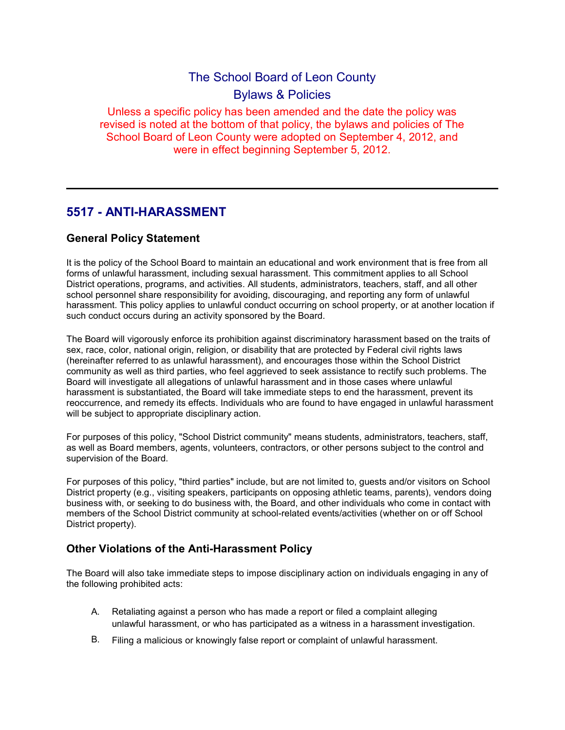# The School Board of Leon County Bylaws & Policies

Unless a specific policy has been amended and the date the policy was revised is noted at the bottom of that policy, the bylaws and policies of The School Board of Leon County were adopted on September 4, 2012, and were in effect beginning September 5, 2012.

# 5517 - ANTI-HARASSMENT

# General Policy Statement

It is the policy of the School Board to maintain an educational and work environment that is free from all forms of unlawful harassment, including sexual harassment. This commitment applies to all School District operations, programs, and activities. All students, administrators, teachers, staff, and all other school personnel share responsibility for avoiding, discouraging, and reporting any form of unlawful harassment. This policy applies to unlawful conduct occurring on school property, or at another location if such conduct occurs during an activity sponsored by the Board.

The Board will vigorously enforce its prohibition against discriminatory harassment based on the traits of sex, race, color, national origin, religion, or disability that are protected by Federal civil rights laws (hereinafter referred to as unlawful harassment), and encourages those within the School District community as well as third parties, who feel aggrieved to seek assistance to rectify such problems. The Board will investigate all allegations of unlawful harassment and in those cases where unlawful harassment is substantiated, the Board will take immediate steps to end the harassment, prevent its reoccurrence, and remedy its effects. Individuals who are found to have engaged in unlawful harassment will be subject to appropriate disciplinary action.

For purposes of this policy, "School District community" means students, administrators, teachers, staff, as well as Board members, agents, volunteers, contractors, or other persons subject to the control and supervision of the Board.

For purposes of this policy, "third parties" include, but are not limited to, guests and/or visitors on School District property (e.g., visiting speakers, participants on opposing athletic teams, parents), vendors doing business with, or seeking to do business with, the Board, and other individuals who come in contact with members of the School District community at school-related events/activities (whether on or off School District property).

# Other Violations of the Anti-Harassment Policy

The Board will also take immediate steps to impose disciplinary action on individuals engaging in any of the following prohibited acts:

- A. Retaliating against a person who has made a report or filed a complaint alleging unlawful harassment, or who has participated as a witness in a harassment investigation.
- B. Filing a malicious or knowingly false report or complaint of unlawful harassment.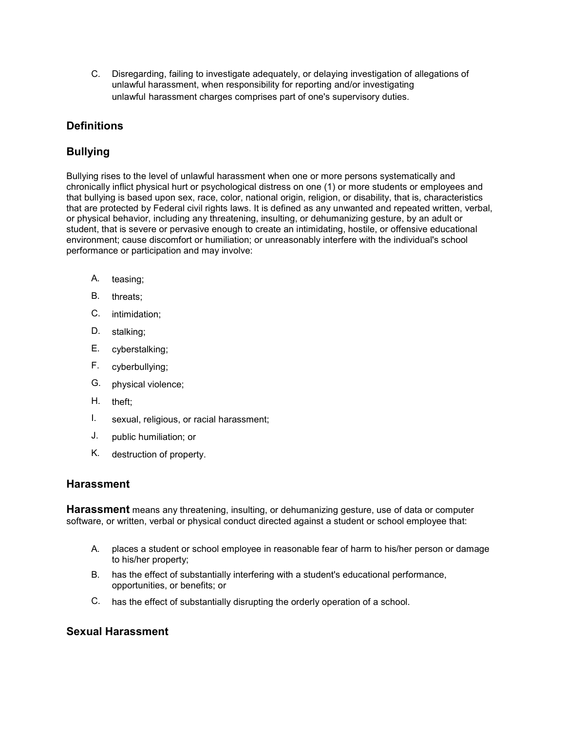C. Disregarding, failing to investigate adequately, or delaying investigation of allegations of unlawful harassment, when responsibility for reporting and/or investigating unlawful harassment charges comprises part of one's supervisory duties.

# **Definitions**

# **Bullying**

Bullying rises to the level of unlawful harassment when one or more persons systematically and chronically inflict physical hurt or psychological distress on one (1) or more students or employees and that bullying is based upon sex, race, color, national origin, religion, or disability, that is, characteristics that are protected by Federal civil rights laws. It is defined as any unwanted and repeated written, verbal, or physical behavior, including any threatening, insulting, or dehumanizing gesture, by an adult or student, that is severe or pervasive enough to create an intimidating, hostile, or offensive educational environment; cause discomfort or humiliation; or unreasonably interfere with the individual's school performance or participation and may involve:

- A. teasing;
- B. threats;
- C. intimidation;
- D. stalking;
- E. cyberstalking;
- F. cyberbullying;
- G. physical violence;
- H. theft;
- I. sexual, religious, or racial harassment;
- J. public humiliation; or
- K. destruction of property.

#### Harassment

**Harassment** means any threatening, insulting, or dehumanizing gesture, use of data or computer software, or written, verbal or physical conduct directed against a student or school employee that:

- A. places a student or school employee in reasonable fear of harm to his/her person or damage to his/her property;
- B. has the effect of substantially interfering with a student's educational performance, opportunities, or benefits; or
- C. has the effect of substantially disrupting the orderly operation of a school.

# Sexual Harassment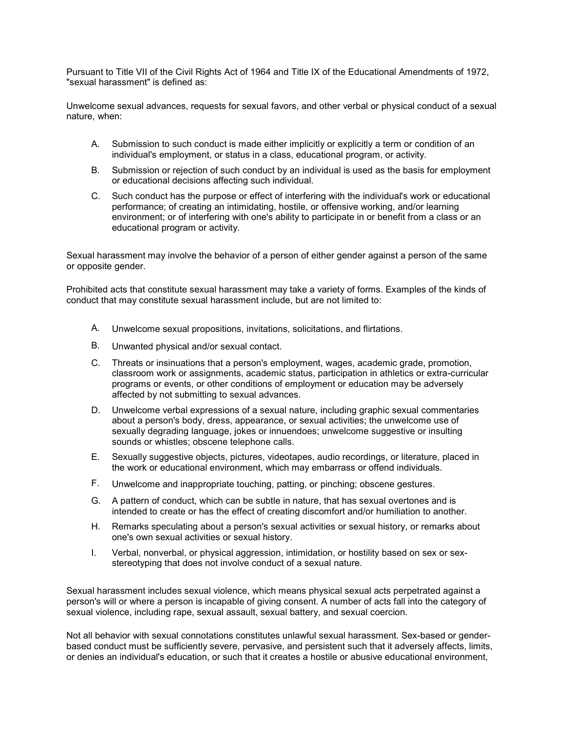Pursuant to Title VII of the Civil Rights Act of 1964 and Title IX of the Educational Amendments of 1972, "sexual harassment" is defined as:

Unwelcome sexual advances, requests for sexual favors, and other verbal or physical conduct of a sexual nature, when:

- A. Submission to such conduct is made either implicitly or explicitly a term or condition of an individual's employment, or status in a class, educational program, or activity.
- B. Submission or rejection of such conduct by an individual is used as the basis for employment or educational decisions affecting such individual.
- C. Such conduct has the purpose or effect of interfering with the individual's work or educational performance; of creating an intimidating, hostile, or offensive working, and/or learning environment; or of interfering with one's ability to participate in or benefit from a class or an educational program or activity.

Sexual harassment may involve the behavior of a person of either gender against a person of the same or opposite gender.

Prohibited acts that constitute sexual harassment may take a variety of forms. Examples of the kinds of conduct that may constitute sexual harassment include, but are not limited to:

- A. Unwelcome sexual propositions, invitations, solicitations, and flirtations.
- B. Unwanted physical and/or sexual contact.
- C. Threats or insinuations that a person's employment, wages, academic grade, promotion, classroom work or assignments, academic status, participation in athletics or extra-curricular programs or events, or other conditions of employment or education may be adversely affected by not submitting to sexual advances.
- D. Unwelcome verbal expressions of a sexual nature, including graphic sexual commentaries about a person's body, dress, appearance, or sexual activities; the unwelcome use of sexually degrading language, jokes or innuendoes; unwelcome suggestive or insulting sounds or whistles; obscene telephone calls.
- E. Sexually suggestive objects, pictures, videotapes, audio recordings, or literature, placed in the work or educational environment, which may embarrass or offend individuals.
- F. Unwelcome and inappropriate touching, patting, or pinching; obscene gestures.
- G. A pattern of conduct, which can be subtle in nature, that has sexual overtones and is intended to create or has the effect of creating discomfort and/or humiliation to another.
- H. Remarks speculating about a person's sexual activities or sexual history, or remarks about one's own sexual activities or sexual history.
- I. Verbal, nonverbal, or physical aggression, intimidation, or hostility based on sex or sexstereotyping that does not involve conduct of a sexual nature.

Sexual harassment includes sexual violence, which means physical sexual acts perpetrated against a person's will or where a person is incapable of giving consent. A number of acts fall into the category of sexual violence, including rape, sexual assault, sexual battery, and sexual coercion.

Not all behavior with sexual connotations constitutes unlawful sexual harassment. Sex-based or genderbased conduct must be sufficiently severe, pervasive, and persistent such that it adversely affects, limits, or denies an individual's education, or such that it creates a hostile or abusive educational environment,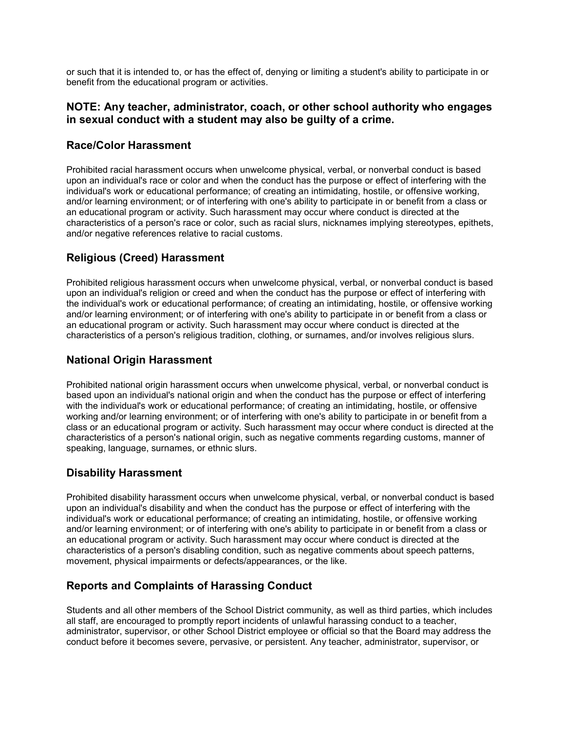or such that it is intended to, or has the effect of, denying or limiting a student's ability to participate in or benefit from the educational program or activities.

#### NOTE: Any teacher, administrator, coach, or other school authority who engages in sexual conduct with a student may also be guilty of a crime.

#### Race/Color Harassment

Prohibited racial harassment occurs when unwelcome physical, verbal, or nonverbal conduct is based upon an individual's race or color and when the conduct has the purpose or effect of interfering with the individual's work or educational performance; of creating an intimidating, hostile, or offensive working, and/or learning environment; or of interfering with one's ability to participate in or benefit from a class or an educational program or activity. Such harassment may occur where conduct is directed at the characteristics of a person's race or color, such as racial slurs, nicknames implying stereotypes, epithets, and/or negative references relative to racial customs.

# Religious (Creed) Harassment

Prohibited religious harassment occurs when unwelcome physical, verbal, or nonverbal conduct is based upon an individual's religion or creed and when the conduct has the purpose or effect of interfering with the individual's work or educational performance; of creating an intimidating, hostile, or offensive working and/or learning environment; or of interfering with one's ability to participate in or benefit from a class or an educational program or activity. Such harassment may occur where conduct is directed at the characteristics of a person's religious tradition, clothing, or surnames, and/or involves religious slurs.

# National Origin Harassment

Prohibited national origin harassment occurs when unwelcome physical, verbal, or nonverbal conduct is based upon an individual's national origin and when the conduct has the purpose or effect of interfering with the individual's work or educational performance; of creating an intimidating, hostile, or offensive working and/or learning environment; or of interfering with one's ability to participate in or benefit from a class or an educational program or activity. Such harassment may occur where conduct is directed at the characteristics of a person's national origin, such as negative comments regarding customs, manner of speaking, language, surnames, or ethnic slurs.

#### Disability Harassment

Prohibited disability harassment occurs when unwelcome physical, verbal, or nonverbal conduct is based upon an individual's disability and when the conduct has the purpose or effect of interfering with the individual's work or educational performance; of creating an intimidating, hostile, or offensive working and/or learning environment; or of interfering with one's ability to participate in or benefit from a class or an educational program or activity. Such harassment may occur where conduct is directed at the characteristics of a person's disabling condition, such as negative comments about speech patterns, movement, physical impairments or defects/appearances, or the like.

# Reports and Complaints of Harassing Conduct

Students and all other members of the School District community, as well as third parties, which includes all staff, are encouraged to promptly report incidents of unlawful harassing conduct to a teacher, administrator, supervisor, or other School District employee or official so that the Board may address the conduct before it becomes severe, pervasive, or persistent. Any teacher, administrator, supervisor, or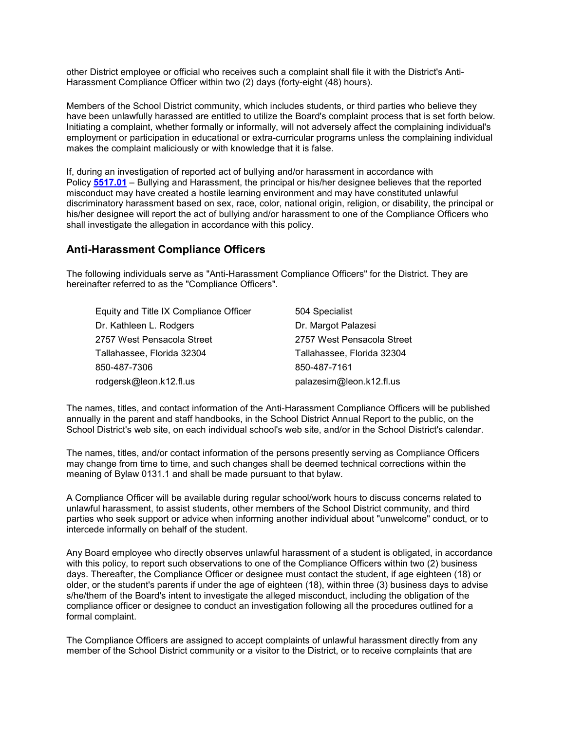other District employee or official who receives such a complaint shall file it with the District's Anti-Harassment Compliance Officer within two (2) days (forty-eight (48) hours).

Members of the School District community, which includes students, or third parties who believe they have been unlawfully harassed are entitled to utilize the Board's complaint process that is set forth below. Initiating a complaint, whether formally or informally, will not adversely affect the complaining individual's employment or participation in educational or extra-curricular programs unless the complaining individual makes the complaint maliciously or with knowledge that it is false.

If, during an investigation of reported act of bullying and/or harassment in accordance with Policy 5517.01 – Bullying and Harassment, the principal or his/her designee believes that the reported misconduct may have created a hostile learning environment and may have constituted unlawful discriminatory harassment based on sex, race, color, national origin, religion, or disability, the principal or his/her designee will report the act of bullying and/or harassment to one of the Compliance Officers who shall investigate the allegation in accordance with this policy.

#### Anti-Harassment Compliance Officers

The following individuals serve as "Anti-Harassment Compliance Officers" for the District. They are hereinafter referred to as the "Compliance Officers".

| Equity and Title IX Compliance Officer | 504 Specialist             |
|----------------------------------------|----------------------------|
| Dr. Kathleen L. Rodgers                | Dr. Margot Palazesi        |
| 2757 West Pensacola Street             | 2757 West Pensacola Street |
| Tallahassee, Florida 32304             | Tallahassee, Florida 32304 |
| 850-487-7306                           | 850-487-7161               |
| rodgersk@leon.k12.fl.us                | palazesim@leon.k12.fl.us   |

The names, titles, and contact information of the Anti-Harassment Compliance Officers will be published annually in the parent and staff handbooks, in the School District Annual Report to the public, on the School District's web site, on each individual school's web site, and/or in the School District's calendar.

The names, titles, and/or contact information of the persons presently serving as Compliance Officers may change from time to time, and such changes shall be deemed technical corrections within the meaning of Bylaw 0131.1 and shall be made pursuant to that bylaw.

A Compliance Officer will be available during regular school/work hours to discuss concerns related to unlawful harassment, to assist students, other members of the School District community, and third parties who seek support or advice when informing another individual about "unwelcome" conduct, or to intercede informally on behalf of the student.

Any Board employee who directly observes unlawful harassment of a student is obligated, in accordance with this policy, to report such observations to one of the Compliance Officers within two (2) business days. Thereafter, the Compliance Officer or designee must contact the student, if age eighteen (18) or older, or the student's parents if under the age of eighteen (18), within three (3) business days to advise s/he/them of the Board's intent to investigate the alleged misconduct, including the obligation of the compliance officer or designee to conduct an investigation following all the procedures outlined for a formal complaint.

The Compliance Officers are assigned to accept complaints of unlawful harassment directly from any member of the School District community or a visitor to the District, or to receive complaints that are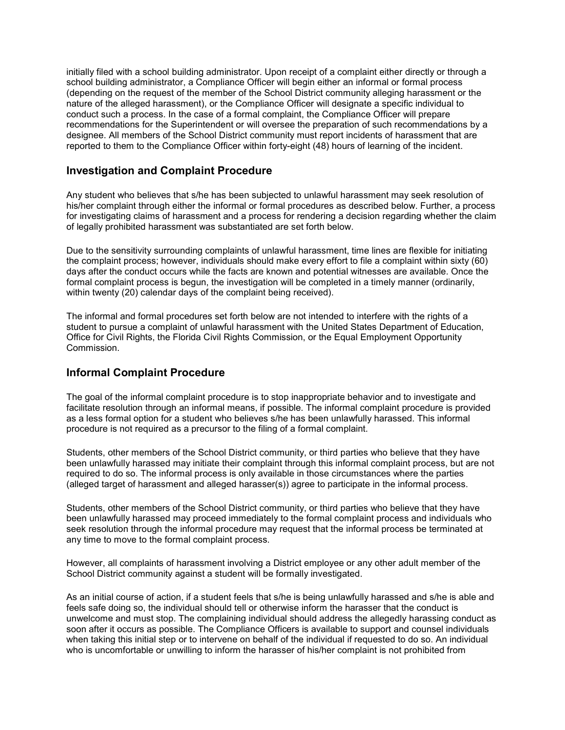initially filed with a school building administrator. Upon receipt of a complaint either directly or through a school building administrator, a Compliance Officer will begin either an informal or formal process (depending on the request of the member of the School District community alleging harassment or the nature of the alleged harassment), or the Compliance Officer will designate a specific individual to conduct such a process. In the case of a formal complaint, the Compliance Officer will prepare recommendations for the Superintendent or will oversee the preparation of such recommendations by a designee. All members of the School District community must report incidents of harassment that are reported to them to the Compliance Officer within forty-eight (48) hours of learning of the incident.

#### Investigation and Complaint Procedure

Any student who believes that s/he has been subjected to unlawful harassment may seek resolution of his/her complaint through either the informal or formal procedures as described below. Further, a process for investigating claims of harassment and a process for rendering a decision regarding whether the claim of legally prohibited harassment was substantiated are set forth below.

Due to the sensitivity surrounding complaints of unlawful harassment, time lines are flexible for initiating the complaint process; however, individuals should make every effort to file a complaint within sixty (60) days after the conduct occurs while the facts are known and potential witnesses are available. Once the formal complaint process is begun, the investigation will be completed in a timely manner (ordinarily, within twenty (20) calendar days of the complaint being received).

The informal and formal procedures set forth below are not intended to interfere with the rights of a student to pursue a complaint of unlawful harassment with the United States Department of Education, Office for Civil Rights, the Florida Civil Rights Commission, or the Equal Employment Opportunity Commission.

# Informal Complaint Procedure

The goal of the informal complaint procedure is to stop inappropriate behavior and to investigate and facilitate resolution through an informal means, if possible. The informal complaint procedure is provided as a less formal option for a student who believes s/he has been unlawfully harassed. This informal procedure is not required as a precursor to the filing of a formal complaint.

Students, other members of the School District community, or third parties who believe that they have been unlawfully harassed may initiate their complaint through this informal complaint process, but are not required to do so. The informal process is only available in those circumstances where the parties (alleged target of harassment and alleged harasser(s)) agree to participate in the informal process.

Students, other members of the School District community, or third parties who believe that they have been unlawfully harassed may proceed immediately to the formal complaint process and individuals who seek resolution through the informal procedure may request that the informal process be terminated at any time to move to the formal complaint process.

However, all complaints of harassment involving a District employee or any other adult member of the School District community against a student will be formally investigated.

As an initial course of action, if a student feels that s/he is being unlawfully harassed and s/he is able and feels safe doing so, the individual should tell or otherwise inform the harasser that the conduct is unwelcome and must stop. The complaining individual should address the allegedly harassing conduct as soon after it occurs as possible. The Compliance Officers is available to support and counsel individuals when taking this initial step or to intervene on behalf of the individual if requested to do so. An individual who is uncomfortable or unwilling to inform the harasser of his/her complaint is not prohibited from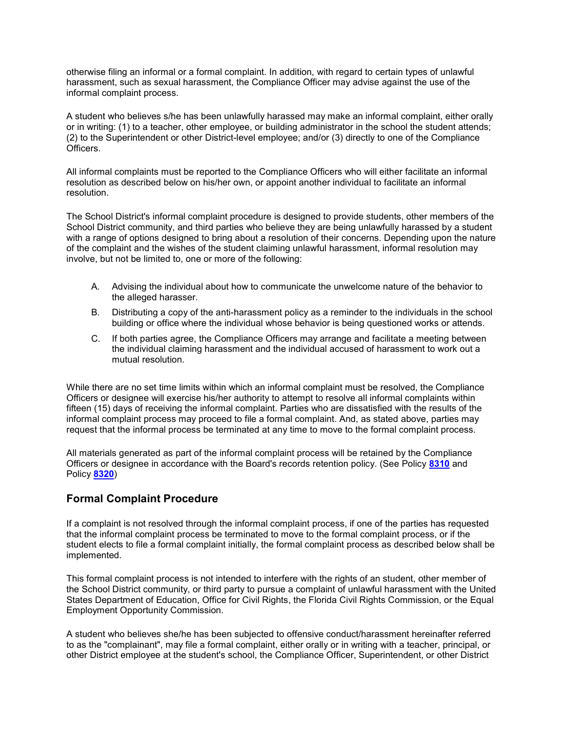otherwise filing an informal or a formal complaint. In addition, with regard to certain types of unlawful harassment, such as sexual harassment, the Compliance Officer may advise against the use of the informal complaint process.

A student who believes s/he has been unlawfully harassed may make an informal complaint, either orally or in writing: (1) to a teacher, other employee, or building administrator in the school the student attends; (2) to the Superintendent or other District-level employee; and/or (3) directly to one of the Compliance Officers.

All informal complaints must be reported to the Compliance Officers who will either facilitate an informal resolution as described below on his/her own, or appoint another individual to facilitate an informal resolution.

The School District's informal complaint procedure is designed to provide students, other members of the School District community, and third parties who believe they are being unlawfully harassed by a student with a range of options designed to bring about a resolution of their concerns. Depending upon the nature of the complaint and the wishes of the student claiming unlawful harassment, informal resolution may involve, but not be limited to, one or more of the following:

- A. Advising the individual about how to communicate the unwelcome nature of the behavior to the alleged harasser.
- B. Distributing a copy of the anti-harassment policy as a reminder to the individuals in the school building or office where the individual whose behavior is being questioned works or attends.
- C. If both parties agree, the Compliance Officers may arrange and facilitate a meeting between the individual claiming harassment and the individual accused of harassment to work out a mutual resolution.

While there are no set time limits within which an informal complaint must be resolved, the Compliance Officers or designee will exercise his/her authority to attempt to resolve all informal complaints within fifteen (15) days of receiving the informal complaint. Parties who are dissatisfied with the results of the informal complaint process may proceed to file a formal complaint. And, as stated above, parties may request that the informal process be terminated at any time to move to the formal complaint process.

All materials generated as part of the informal complaint process will be retained by the Compliance Officers or designee in accordance with the Board's records retention policy. (See Policy 8310 and Policy 8320)

# Formal Complaint Procedure

If a complaint is not resolved through the informal complaint process, if one of the parties has requested that the informal complaint process be terminated to move to the formal complaint process, or if the student elects to file a formal complaint initially, the formal complaint process as described below shall be implemented.

This formal complaint process is not intended to interfere with the rights of an student, other member of the School District community, or third party to pursue a complaint of unlawful harassment with the United States Department of Education, Office for Civil Rights, the Florida Civil Rights Commission, or the Equal Employment Opportunity Commission.

A student who believes she/he has been subjected to offensive conduct/harassment hereinafter referred to as the "complainant", may file a formal complaint, either orally or in writing with a teacher, principal, or other District employee at the student's school, the Compliance Officer, Superintendent, or other District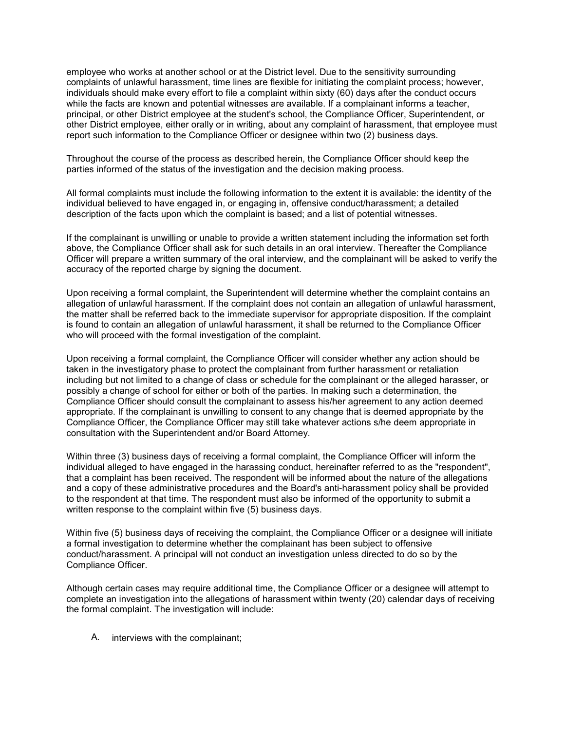employee who works at another school or at the District level. Due to the sensitivity surrounding complaints of unlawful harassment, time lines are flexible for initiating the complaint process; however, individuals should make every effort to file a complaint within sixty (60) days after the conduct occurs while the facts are known and potential witnesses are available. If a complainant informs a teacher, principal, or other District employee at the student's school, the Compliance Officer, Superintendent, or other District employee, either orally or in writing, about any complaint of harassment, that employee must report such information to the Compliance Officer or designee within two (2) business days.

Throughout the course of the process as described herein, the Compliance Officer should keep the parties informed of the status of the investigation and the decision making process.

All formal complaints must include the following information to the extent it is available: the identity of the individual believed to have engaged in, or engaging in, offensive conduct/harassment; a detailed description of the facts upon which the complaint is based; and a list of potential witnesses.

If the complainant is unwilling or unable to provide a written statement including the information set forth above, the Compliance Officer shall ask for such details in an oral interview. Thereafter the Compliance Officer will prepare a written summary of the oral interview, and the complainant will be asked to verify the accuracy of the reported charge by signing the document.

Upon receiving a formal complaint, the Superintendent will determine whether the complaint contains an allegation of unlawful harassment. If the complaint does not contain an allegation of unlawful harassment, the matter shall be referred back to the immediate supervisor for appropriate disposition. If the complaint is found to contain an allegation of unlawful harassment, it shall be returned to the Compliance Officer who will proceed with the formal investigation of the complaint.

Upon receiving a formal complaint, the Compliance Officer will consider whether any action should be taken in the investigatory phase to protect the complainant from further harassment or retaliation including but not limited to a change of class or schedule for the complainant or the alleged harasser, or possibly a change of school for either or both of the parties. In making such a determination, the Compliance Officer should consult the complainant to assess his/her agreement to any action deemed appropriate. If the complainant is unwilling to consent to any change that is deemed appropriate by the Compliance Officer, the Compliance Officer may still take whatever actions s/he deem appropriate in consultation with the Superintendent and/or Board Attorney.

Within three (3) business days of receiving a formal complaint, the Compliance Officer will inform the individual alleged to have engaged in the harassing conduct, hereinafter referred to as the "respondent", that a complaint has been received. The respondent will be informed about the nature of the allegations and a copy of these administrative procedures and the Board's anti-harassment policy shall be provided to the respondent at that time. The respondent must also be informed of the opportunity to submit a written response to the complaint within five (5) business days.

Within five (5) business days of receiving the complaint, the Compliance Officer or a designee will initiate a formal investigation to determine whether the complainant has been subject to offensive conduct/harassment. A principal will not conduct an investigation unless directed to do so by the Compliance Officer.

Although certain cases may require additional time, the Compliance Officer or a designee will attempt to complete an investigation into the allegations of harassment within twenty (20) calendar days of receiving the formal complaint. The investigation will include:

A. interviews with the complainant;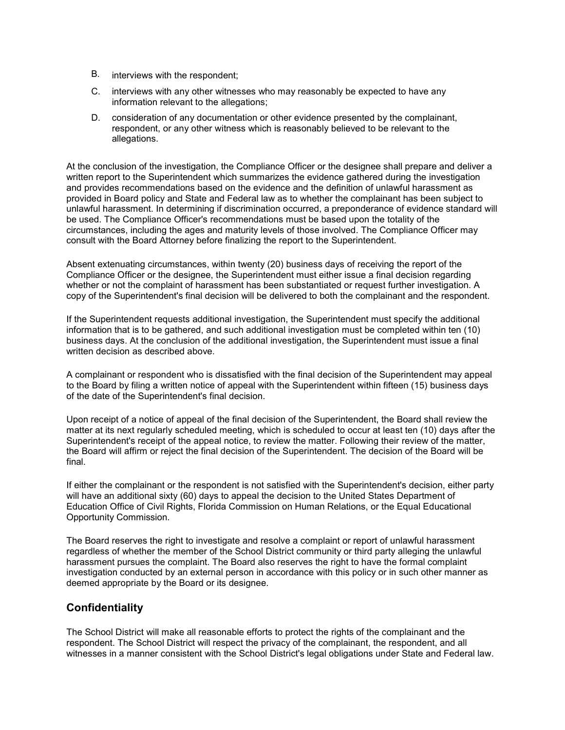- B. interviews with the respondent;
- C. interviews with any other witnesses who may reasonably be expected to have any information relevant to the allegations;
- D. consideration of any documentation or other evidence presented by the complainant, respondent, or any other witness which is reasonably believed to be relevant to the allegations.

At the conclusion of the investigation, the Compliance Officer or the designee shall prepare and deliver a written report to the Superintendent which summarizes the evidence gathered during the investigation and provides recommendations based on the evidence and the definition of unlawful harassment as provided in Board policy and State and Federal law as to whether the complainant has been subject to unlawful harassment. In determining if discrimination occurred, a preponderance of evidence standard will be used. The Compliance Officer's recommendations must be based upon the totality of the circumstances, including the ages and maturity levels of those involved. The Compliance Officer may consult with the Board Attorney before finalizing the report to the Superintendent.

Absent extenuating circumstances, within twenty (20) business days of receiving the report of the Compliance Officer or the designee, the Superintendent must either issue a final decision regarding whether or not the complaint of harassment has been substantiated or request further investigation. A copy of the Superintendent's final decision will be delivered to both the complainant and the respondent.

If the Superintendent requests additional investigation, the Superintendent must specify the additional information that is to be gathered, and such additional investigation must be completed within ten (10) business days. At the conclusion of the additional investigation, the Superintendent must issue a final written decision as described above.

A complainant or respondent who is dissatisfied with the final decision of the Superintendent may appeal to the Board by filing a written notice of appeal with the Superintendent within fifteen (15) business days of the date of the Superintendent's final decision.

Upon receipt of a notice of appeal of the final decision of the Superintendent, the Board shall review the matter at its next regularly scheduled meeting, which is scheduled to occur at least ten (10) days after the Superintendent's receipt of the appeal notice, to review the matter. Following their review of the matter, the Board will affirm or reject the final decision of the Superintendent. The decision of the Board will be final.

If either the complainant or the respondent is not satisfied with the Superintendent's decision, either party will have an additional sixty (60) days to appeal the decision to the United States Department of Education Office of Civil Rights, Florida Commission on Human Relations, or the Equal Educational Opportunity Commission.

The Board reserves the right to investigate and resolve a complaint or report of unlawful harassment regardless of whether the member of the School District community or third party alleging the unlawful harassment pursues the complaint. The Board also reserves the right to have the formal complaint investigation conducted by an external person in accordance with this policy or in such other manner as deemed appropriate by the Board or its designee.

# Confidentiality

The School District will make all reasonable efforts to protect the rights of the complainant and the respondent. The School District will respect the privacy of the complainant, the respondent, and all witnesses in a manner consistent with the School District's legal obligations under State and Federal law.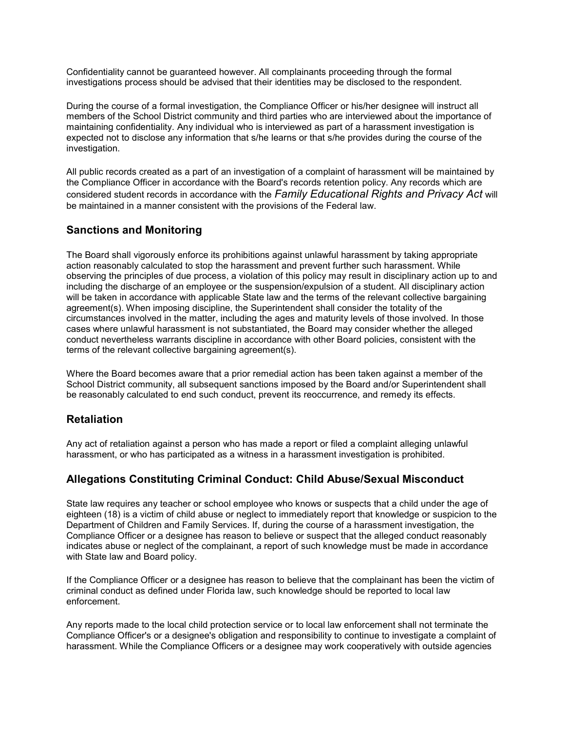Confidentiality cannot be guaranteed however. All complainants proceeding through the formal investigations process should be advised that their identities may be disclosed to the respondent.

During the course of a formal investigation, the Compliance Officer or his/her designee will instruct all members of the School District community and third parties who are interviewed about the importance of maintaining confidentiality. Any individual who is interviewed as part of a harassment investigation is expected not to disclose any information that s/he learns or that s/he provides during the course of the investigation.

All public records created as a part of an investigation of a complaint of harassment will be maintained by the Compliance Officer in accordance with the Board's records retention policy. Any records which are considered student records in accordance with the Family Educational Rights and Privacy Act will be maintained in a manner consistent with the provisions of the Federal law.

# Sanctions and Monitoring

The Board shall vigorously enforce its prohibitions against unlawful harassment by taking appropriate action reasonably calculated to stop the harassment and prevent further such harassment. While observing the principles of due process, a violation of this policy may result in disciplinary action up to and including the discharge of an employee or the suspension/expulsion of a student. All disciplinary action will be taken in accordance with applicable State law and the terms of the relevant collective bargaining agreement(s). When imposing discipline, the Superintendent shall consider the totality of the circumstances involved in the matter, including the ages and maturity levels of those involved. In those cases where unlawful harassment is not substantiated, the Board may consider whether the alleged conduct nevertheless warrants discipline in accordance with other Board policies, consistent with the terms of the relevant collective bargaining agreement(s).

Where the Board becomes aware that a prior remedial action has been taken against a member of the School District community, all subsequent sanctions imposed by the Board and/or Superintendent shall be reasonably calculated to end such conduct, prevent its reoccurrence, and remedy its effects.

# Retaliation

Any act of retaliation against a person who has made a report or filed a complaint alleging unlawful harassment, or who has participated as a witness in a harassment investigation is prohibited.

# Allegations Constituting Criminal Conduct: Child Abuse/Sexual Misconduct

State law requires any teacher or school employee who knows or suspects that a child under the age of eighteen (18) is a victim of child abuse or neglect to immediately report that knowledge or suspicion to the Department of Children and Family Services. If, during the course of a harassment investigation, the Compliance Officer or a designee has reason to believe or suspect that the alleged conduct reasonably indicates abuse or neglect of the complainant, a report of such knowledge must be made in accordance with State law and Board policy.

If the Compliance Officer or a designee has reason to believe that the complainant has been the victim of criminal conduct as defined under Florida law, such knowledge should be reported to local law enforcement.

Any reports made to the local child protection service or to local law enforcement shall not terminate the Compliance Officer's or a designee's obligation and responsibility to continue to investigate a complaint of harassment. While the Compliance Officers or a designee may work cooperatively with outside agencies